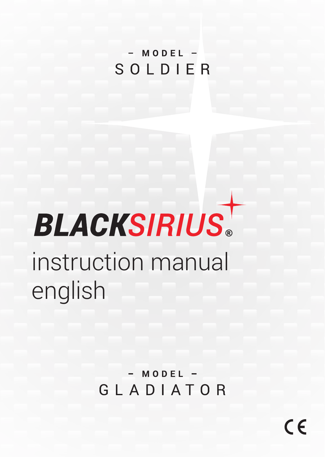# $-MODE$ SOLDIER

# **BLACKSIRIUS** instruction manual english

# $-MODEL =$ GLADIATOR

 $\epsilon$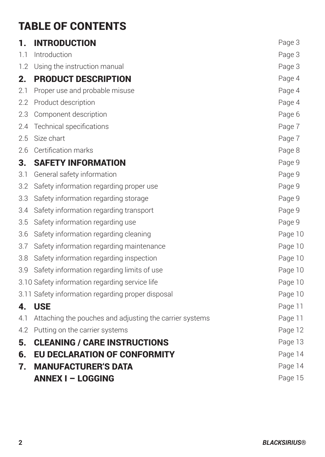# TABLE OF CONTENTS

| 1.               | <b>INTRODUCTION</b>                                     | Page 3  |
|------------------|---------------------------------------------------------|---------|
| 1.1              | Introduction                                            | Page 3  |
|                  | 1.2 Using the instruction manual                        | Page 3  |
| 2.               | <b>PRODUCT DESCRIPTION</b>                              | Page 4  |
| 2.1              | Proper use and probable misuse                          | Page 4  |
| $2.2\phantom{0}$ | Product description                                     | Page 4  |
| 2.3              | Component description                                   | Page 6  |
| 2.4              | Technical specifications                                | Page 7  |
| 2.5              | Size chart                                              | Page 7  |
| 2.6              | Certification marks                                     | Page 8  |
| 3.               | <b>SAFETY INFORMATION</b>                               | Page 9  |
| 3.1              | General safety information                              | Page 9  |
| 3.2              | Safety information regarding proper use                 | Page 9  |
| 3.3              | Safety information regarding storage                    | Page 9  |
| 3.4              | Safety information regarding transport                  | Page 9  |
| 3.5              | Safety information regarding use                        | Page 9  |
| 3.6              | Safety information regarding cleaning                   | Page 10 |
| 3.7              | Safety information regarding maintenance                | Page 10 |
| 3.8              | Safety information regarding inspection                 | Page 10 |
| 3.9              | Safety information regarding limits of use              | Page 10 |
|                  | 3.10 Safety information regarding service life          | Page 10 |
|                  | 3.11 Safety information regarding proper disposal       | Page 10 |
| 4.               | <b>USE</b>                                              | Page 11 |
| 4.1              | Attaching the pouches and adjusting the carrier systems | Page 11 |
| 4.2              | Putting on the carrier systems                          | Page 12 |
| 5.               | <b>CLEANING / CARE INSTRUCTIONS</b>                     | Page 13 |
| 6.               | <b>EU DECLARATION OF CONFORMITY</b>                     | Page 14 |
| 7.               | <b>MANUFACTURER'S DATA</b>                              | Page 14 |
|                  | <b>ANNEX I - LOGGING</b>                                | Page 15 |
|                  |                                                         |         |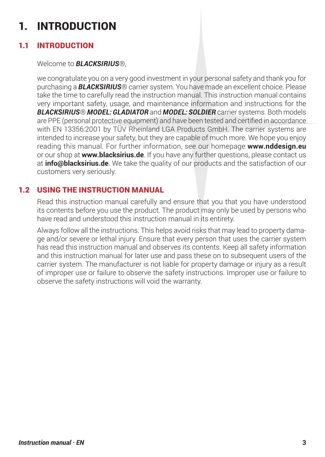# 1. INTRODUCTION

## 1.1 INTRODUCTION

#### Welcome to *BLACKSIRIUS*®,

we congratulate you on a very good investment in your personal safety and thank you for purchasing a *BLACKSIRIUS*® carrier system. You have made an excellent choice. Please take the time to carefully read the instruction manual. This instruction manual contains very important safety, usage, and maintenance information and instructions for the *BLACKSIRIUS*® *MODEL: GLADIATOR* and *MODEL: SOLDIER* carrier systems. Both models are PPE (personal protective equipment) and have been tested and certified in accordance with EN 13356:2001 by TÜV Rheinland LGA Products GmbH. The carrier systems are intended to increase your safety, but they are capable of much more. We hope you enjoy reading this manual. For further information, see our homepage **www.nddesign.eu** or our shop at **www.blacksirius.de**. If you have any further questions, please contact us at **info@blacksirius.de**. We take the quality of our products and the satisfaction of our customers very seriously.

#### 1.2 USING THE INSTRUCTION MANUAL

Read this instruction manual carefully and ensure that you that you have understood its contents before you use the product. The product may only be used by persons who have read and understood this instruction manual in its entirety.

Always follow all the instructions. This helps avoid risks that may lead to property damage and/or severe or lethal injury. Ensure that every person that uses the carrier system has read this instruction manual and observes its contents. Keep all safety information and this instruction manual for later use and pass these on to subsequent users of the carrier system. The manufacturer is not liable for property damage or injury as a result of improper use or failure to observe the safety instructions. Improper use or failure to observe the safety instructions will void the warranty.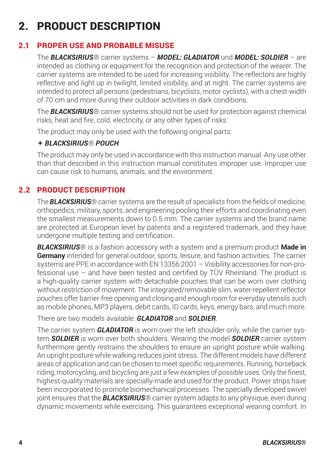# 2. PRODUCT DESCRIPTION

## 2.1 PROPER USE AND PROBABLE MISUSE

The *BLACKSIRIUS*® carrier systems – *MODEL: GLADIATOR* und *MODEL: SOLDIER* – are intended as clothing or equipment for the recognition and protection of the wearer. The carrier systems are intended to be used for increasing visibility. The reflectors are highly reflective and light up in twilight, limited visibility, and at night. The carrier systems are intended to protect all persons (pedestrians, bicyclists, motor cyclists), with a chest-width of 70 cm and more during their outdoor activities in dark conditions.

The *BLACKSIRIUS*® carrier systems should not be used for protection against chemical risks, heat and fire, cold, electricity, or any other types of risks.

The product may only be used with the following original parts:

#### *BLACKSIRIUS*® *POUCH*

The product may only be used in accordance with this instruction manual. Any use other than that described in this instruction manual constitutes improper use. Improper use can cause risk to humans, animals, and the environment.

## 2.2 PRODUCT DESCRIPTION

The *BLACKSIRIUS*® carrier systems are the result of specialists from the fields of medicine, orthopedics, military, sports, and engineering pooling their efforts and coordinating even the smallest measurements down to 0.5 mm. The carrier systems and the brand name are protected at European level by patents and a registered trademark, and they have undergone multiple testing and certification.

*BLACKSIRIUS*® is a fashion accessory with a system and a premium product **Made in Germany** intended for general outdoor, sports, leisure, and fashion activities. The carrier systems are PPE in accordance with EN 13356:2001 – Visibility accessories for non-professional use – and have been tested and certified by TÜV Rheinland. The product is a high-quality carrier system with detachable pouches that can be worn over clothing without restriction of movement. The integrated/removable slim, water-repellent reflector pouches offer barrier-free opening and closing and enough room for everyday utensils such as mobile phones, MP3 players, debit cards, ID cards, keys, energy bars, and much more.

There are two models available: *GLADIATOR* and *SOLDIER*.

The carrier system *GLADIATOR* is worn over the left shoulder only, while the carrier system *SOLDIER* is worn over both shoulders. Wearing the model *SOLDIER* carrier system furthermore gently restrains the shoulders to ensure an upright posture while walking. An upright posture while walking reduces joint stress. The different models have different areas of application and can be chosen to meet specific requirements. Running, horseback riding, motorcycling, and bicycling are just a few examples of possible uses. Only the finest, highest-quality materials are specially-made and used for the product. Power strips have been incorporated to promote biomechanical processes. The specially developed swivel joint ensures that the *BLACKSIRIUS*® carrier system adapts to any physique, even during dynamic movements while exercising. This guarantees exceptional wearing comfort. In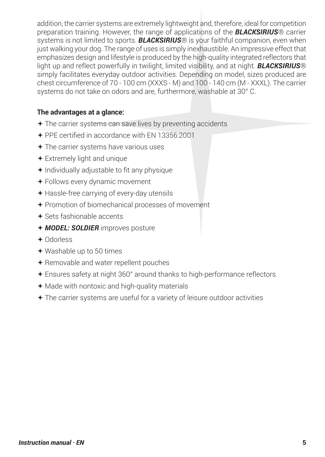addition, the carrier systems are extremely lightweight and, therefore, ideal for competition preparation training. However, the range of applications of the *BLACKSIRIUS*® carrier systems is not limited to sports. *BLACKSIRIUS*® is your faithful companion, even when just walking your dog. The range of uses is simply inexhaustible. An impressive effect that emphasizes design and lifestyle is produced by the high-quality integrated reflectors that light up and reflect powerfully in twilight, limited visibility, and at night. *BLACKSIRIUS*® simply facilitates everyday outdoor activities. Depending on model, sizes produced are chest circumference of 70 - 100 cm (XXXS - M) and 100 - 140 cm (M - XXXL). The carrier systems do not take on odors and are, furthermore, washable at 30° C.

#### **The advantages at a glance:**

- The carrier systems can save lives by preventing accidents
- PPE certified in accordance with EN 13356:2001
- The carrier systems have various uses
- Extremely light and unique
- $+$  Individually adjustable to fit any physique
- Follows every dynamic movement
- Hassle-free carrying of every-day utensils
- Promotion of biomechanical processes of movement
- Sets fashionable accents
- *MODEL: SOLDIER* improves posture
- Odorless
- Washable up to 50 times
- Removable and water repellent pouches
- Ensures safety at night 360° around thanks to high-performance reflectors
- Made with nontoxic and high-quality materials
- The carrier systems are useful for a variety of leisure outdoor activities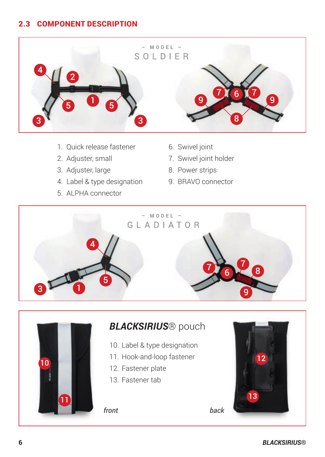## 2.3 COMPONENT DESCRIPTION



- 1. Quick release fastener
- 2. Adjuster, small
- 3. Adjuster, large
- 4. Label & type designation
- 5. ALPHA connector
- 6. Swivel joint
	- 7. Swivel joint holder
	- 8. Power strips
- 9. BRAVO connector





# *BLACKSIRIUS*® pouch

- 10. Label & type designation
- 11. Hook-and-loop fastener
- 12. Fastener plate
- 13. Fastener tab

*front back*

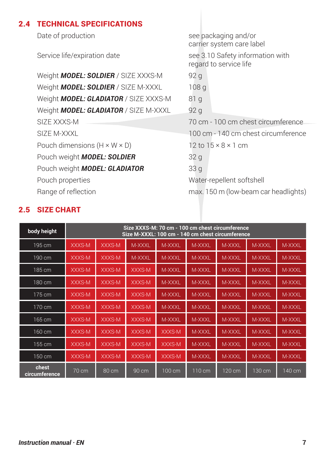#### 2.4 TECHNICAL SPECIFICATIONS

Date of production **See packaging and/or** 

carrier system care label

Service life/expiration date see 3.10 Safety information with regard to service life

Weight **MODEL: SOLDIER** / SIZE XXXS-M 92 g Weight **MODEL: SOLDIER** / SIZE M-XXXL 108 g Weight **MODEL: GLADIATOR** / SIZE XXXS-M 81 g Weight **MODEL: GLADIATOR** / SIZE M-XXXL 92 g SIZE XXXS-M 70 cm - 100 cm chest circumference SIZE M-XXXL **100 cm - 140 cm chest circumference** Pouch dimensions  $(H \times W \times D)$  12 to  $15 \times 8 \times 1$  cm Pouch weight *MODEL: SOLDIER* 32 g Pouch weight *MODEL: GLADIATOR* 33 g Pouch properties and the control of the Water-repellent softshell Range of reflection max. 150 m (low-beam car headlights)

| body height            | Size XXXS-M: 70 cm - 100 cm chest circumference<br>Size M-XXXL: 100 cm - 140 cm chest circumference |        |                 |        |                  |        |        |        |
|------------------------|-----------------------------------------------------------------------------------------------------|--------|-----------------|--------|------------------|--------|--------|--------|
| 195 cm                 | XXXS-M                                                                                              | XXXS-M | M-XXXL          | M-XXXL | M-XXXL           | M-XXXL | M-XXXL | M-XXXL |
| 190 cm                 | XXXS-M                                                                                              | XXXS-M | M-XXXL          | M-XXXL | M-XXXL           | M-XXXL | M-XXXL | M-XXXL |
| 185 cm                 | XXXS-M                                                                                              | XXXS-M | XXXS-M          | M-XXXL | M-XXXL           | M-XXXL | M-XXXL | M-XXXL |
| 180 cm                 | XXXS-M                                                                                              | XXXS-M | XXXS-M          | M-XXXL | M-XXXL           | M-XXXL | M-XXXL | M-XXXL |
| 175 cm                 | XXXS-M                                                                                              | XXXS-M | XXXS-M          | M-XXXL | M-XXXL           | M-XXXL | M-XXXL | M-XXXL |
| 170 cm                 | XXXS-M                                                                                              | XXXS-M | XXXS-M          | M-XXXL | M-XXXL           | M-XXXL | M-XXXL | M-XXXL |
| 165 cm                 | XXXS-M                                                                                              | XXXS-M | XXXS-M          | M-XXXL | M-XXXL           | M-XXXL | M-XXXL | M-XXXL |
| 160 cm                 | XXXS-M                                                                                              | XXXS-M | XXXS-M          | XXXS-M | M-XXXL           | M-XXXL | M-XXXL | M-XXXL |
| 155 cm                 | XXXS-M                                                                                              | XXXS-M | XXXS-M          | XXXS-M | M-XXXL           | M-XXXL | M-XXXL | M-XXXL |
| 150 cm                 | XXXS-M                                                                                              | XXXS-M | XXXS-M          | XXXS-M | M-XXXL           | M-XXXL | M-XXXL | M-XXXL |
| chest<br>circumference | 70 cm                                                                                               | 80 cm  | $90 \text{ cm}$ | 100 cm | $110 \text{ cm}$ | 120 cm | 130 cm | 140 cm |

#### 2.5 SIZE CHART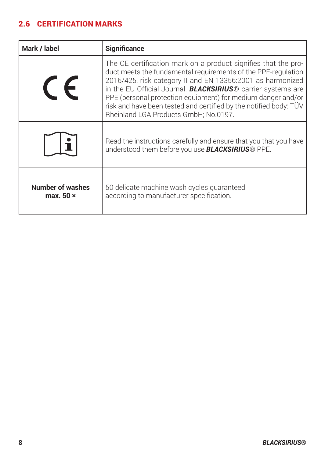# 2.6 CERTIFICATION MARKS

| Mark / label                         | Significance                                                                                                                                                                                                                                                                                                                                                                                                                                        |  |  |  |  |
|--------------------------------------|-----------------------------------------------------------------------------------------------------------------------------------------------------------------------------------------------------------------------------------------------------------------------------------------------------------------------------------------------------------------------------------------------------------------------------------------------------|--|--|--|--|
| $\epsilon$                           | The CE certification mark on a product signifies that the pro-<br>duct meets the fundamental requirements of the PPE-requlation<br>2016/425, risk category II and EN 13356:2001 as harmonized<br>in the EU Official Journal. <b>BLACKSIRIUS</b> ® carrier systems are<br>PPE (personal protection equipment) for medium danger and/or<br>risk and have been tested and certified by the notified body: TÜV<br>Rheinland LGA Products GmbH: No.0197. |  |  |  |  |
|                                      | Read the instructions carefully and ensure that you that you have<br>understood them before you use <b>BLACKSIRIUS</b> ® PPE.                                                                                                                                                                                                                                                                                                                       |  |  |  |  |
| Number of washes<br>max. $50 \times$ | 50 delicate machine wash cycles quaranteed<br>according to manufacturer specification.                                                                                                                                                                                                                                                                                                                                                              |  |  |  |  |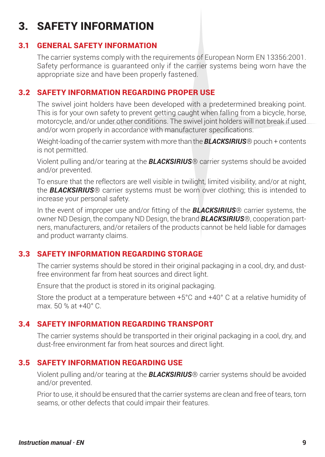# 3. SAFETY INFORMATION

## 3.1 GENERAL SAFETY INFORMATION

The carrier systems comply with the requirements of European Norm EN 13356:2001. Safety performance is guaranteed only if the carrier systems being worn have the appropriate size and have been properly fastened.

## 3.2 SAFETY INFORMATION REGARDING PROPER USE

The swivel joint holders have been developed with a predetermined breaking point. This is for your own safety to prevent getting caught when falling from a bicycle, horse, motorcycle, and/or under other conditions. The swivel joint holders will not break if used and/or worn properly in accordance with manufacturer specifications.

Weight-loading of the carrier system with more than the **BLACKSIRIUS**® pouch + contents is not permitted.

Violent pulling and/or tearing at the *BLACKSIRIUS*® carrier systems should be avoided and/or prevented

To ensure that the reflectors are well visible in twilight, limited visibility, and/or at night, the *BLACKSIRIUS*® carrier systems must be worn over clothing; this is intended to increase your personal safety.

In the event of improper use and/or fitting of the *BLACKSIRIUS*® carrier systems, the owner ND Design, the company ND Design, the brand *BLACKSIRIUS*®, cooperation partners, manufacturers, and/or retailers of the products cannot be held liable for damages and product warranty claims.

## 3.3 SAFETY INFORMATION REGARDING STORAGE

The carrier systems should be stored in their original packaging in a cool, dry, and dustfree environment far from heat sources and direct light.

Ensure that the product is stored in its original packaging.

Store the product at a temperature between +5°C and +40° C at a relative humidity of max. 50 % at +40° C.

## 3.4 SAFETY INFORMATION REGARDING TRANSPORT

The carrier systems should be transported in their original packaging in a cool, dry, and dust-free environment far from heat sources and direct light.

## 3.5 SAFETY INFORMATION REGARDING USE

Violent pulling and/or tearing at the *BLACKSIRIUS*® carrier systems should be avoided and/or prevented.

Prior to use, it should be ensured that the carrier systems are clean and free of tears, torn seams, or other defects that could impair their features.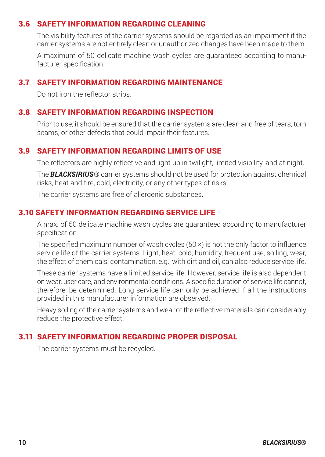#### 3.6 SAFETY INFORMATION REGARDING CLEANING

The visibility features of the carrier systems should be regarded as an impairment if the carrier systems are not entirely clean or unauthorized changes have been made to them.

A maximum of 50 delicate machine wash cycles are guaranteed according to manufacturer specification.

#### 3.7 SAFETY INFORMATION REGARDING MAINTENANCE

Do not iron the reflector strips.

#### 3.8 SAFETY INFORMATION REGARDING INSPECTION

Prior to use, it should be ensured that the carrier systems are clean and free of tears, torn seams, or other defects that could impair their features.

#### 3.9 SAFETY INFORMATION REGARDING LIMITS OF USE

The reflectors are highly reflective and light up in twilight, limited visibility, and at night.

The *BLACKSIRIUS*® carrier systems should not be used for protection against chemical risks, heat and fire, cold, electricity, or any other types of risks.

The carrier systems are free of allergenic substances.

#### 3.10 SAFETY INFORMATION REGARDING SERVICE LIFE

A max. of 50 delicate machine wash cycles are guaranteed according to manufacturer specification.

The specified maximum number of wash cycles (50 ×) is not the only factor to influence service life of the carrier systems. Light, heat, cold, humidity, frequent use, soiling, wear, the effect of chemicals, contamination, e.g., with dirt and oil, can also reduce service life.

These carrier systems have a limited service life. However, service life is also dependent on wear, user care, and environmental conditions. A specific duration of service life cannot, therefore, be determined. Long service life can only be achieved if all the instructions provided in this manufacturer information are observed.

Heavy soiling of the carrier systems and wear of the reflective materials can considerably reduce the protective effect.

#### 3.11 SAFETY INFORMATION REGARDING PROPER DISPOSAL

The carrier systems must be recycled.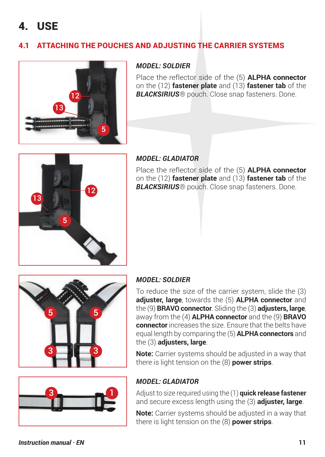# 4. USE

# 4.1 ATTACHING THE POUCHES AND ADJUSTING THE CARRIER SYSTEMS



#### *MODEL: SOLDIER*

Place the reflector side of the (5) **ALPHA connector** on the (12) **fastener plate** and (13) **fastener tab** of the *BLACKSIRIUS*® pouch. Close snap fasteners. Done.



#### *MODEL: GLADIATOR*

Place the reflector side of the (5) **ALPHA connector** on the (12) **fastener plate** and (13) **fastener tab** of the *BLACKSIRIUS*® pouch. Close snap fasteners. Done.





#### *MODEL: SOLDIER*

To reduce the size of the carrier system, slide the (3) **adjuster, large**, towards the (5) **ALPHA connector** and the (9) **BRAVO connector**. Sliding the (3) **adjusters, large**, away from the (4) **ALPHA connector** and the (9) **BRAVO connector** increases the size. Ensure that the belts have equal length by comparing the (5) **ALPHA connectors** and the (3) **adjusters, large**.

**Note:** Carrier systems should be adjusted in a way that there is light tension on the (8) **power strips**.

#### *MODEL: GLADIATOR*

Adjust to size required using the (1) **quick release fastener** and secure excess length using the (3) **adjuster, large**.

**Note:** Carrier systems should be adjusted in a way that there is light tension on the (8) **power strips**.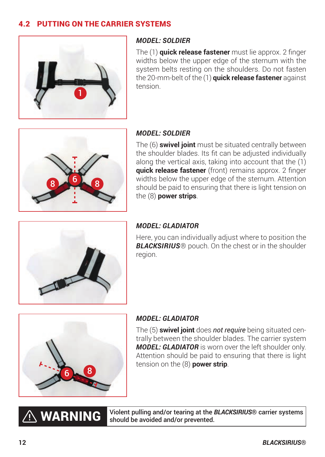## 4.2 PUTTING ON THE CARRIER SYSTEMS



#### *MODEL: SOLDIER*

The (1) **quick release fastener** must lie approx. 2 finger widths below the upper edge of the sternum with the system belts resting on the shoulders. Do not fasten the 20-mm-belt of the (1) **quick release fastener** against tension.



#### *MODEL: SOLDIER*

The (6) **swivel joint** must be situated centrally between the shoulder blades. Its fit can be adjusted individually along the vertical axis, taking into account that the (1) **quick release fastener** (front) remains approx. 2 finger widths below the upper edge of the sternum. Attention should be paid to ensuring that there is light tension on the (8) **power strips**.



#### *MODEL: GLADIATOR*

Here, you can individually adjust where to position the *BLACKSIRIUS*® pouch. On the chest or in the shoulder region.



 $\hat{\wedge}$  warning

#### *MODEL: GLADIATOR*

The (5) **swivel joint** does *not require* being situated centrally between the shoulder blades. The carrier system *MODEL: GLADIATOR* is worn over the left shoulder only. Attention should be paid to ensuring that there is light tension on the (8) **power strip**.

Violent pulling and/or tearing at the *BLACKSIRIUS*® carrier systems should be avoided and/or prevented.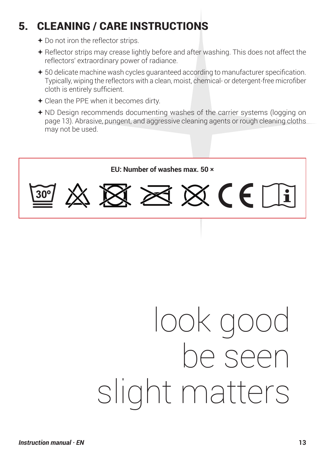# 5. CLEANING / CARE INSTRUCTIONS

- + Do not iron the reflector strips.
- Reflector strips may crease lightly before and after washing. This does not affect the reflectors' extraordinary power of radiance.
- 50 delicate machine wash cycles guaranteed according to manufacturer specification. Typically, wiping the reflectors with a clean, moist, chemical- or detergent-free microfiber cloth is entirely sufficient.
- Clean the PPE when it becomes dirty.
- ND Design recommends documenting washes of the carrier systems (logging on page 13). Abrasive, pungent, and aggressive cleaning agents or rough cleaning cloths may not be used.



# look good be seen slight matters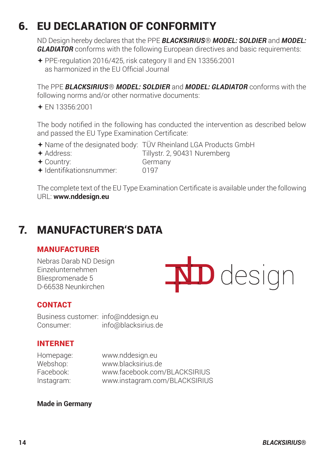# 6. EU DECLARATION OF CONFORMITY

ND Design hereby declares that the PPE *BLACKSIRIUS*® *MODEL: SOLDIER* and *MODEL: GLADIATOR* conforms with the following European directives and basic requirements:

 PPE-regulation 2016/425, risk category II and EN 13356:2001 as harmonized in the EU Official Journal

The PPE *BLACKSIRIUS*® *MODEL: SOLDIER* and *MODEL: GLADIATOR* conforms with the following norms and/or other normative documents:

EN 13356:2001

The body notified in the following has conducted the intervention as described below and passed the EU Type Examination Certificate:

- Name of the designated body: TÜV Rheinland LGA Products GmbH
- 

+ Address: Tillystr. 2, 90431 Nuremberg<br>← Country: Germany

+ Country: Germ<br>← Identifikationsnummer: 0197  $\triangleq$ Identifikationsnummer:

The complete text of the EU Type Examination Certificate is available under the following URL: **www.nddesign.eu**

# 7. MANUFACTURER'S DATA

## MANUFACTURER

Nebras Darab ND Design Einzelunternehmen Bliespromenade 5 D-66538 Neunkirchen

**ND** design

## **CONTACT**

Business customer: info@nddesign.eu Consumer: info@blacksirius.de

## INTERNET

Homepage: www.nddesign.eu www.blacksirius.de Facebook: www.facebook.com/BLACKSIRIUS Instagram: www.instagram.com/BLACKSIRIUS

#### **Made in Germany**